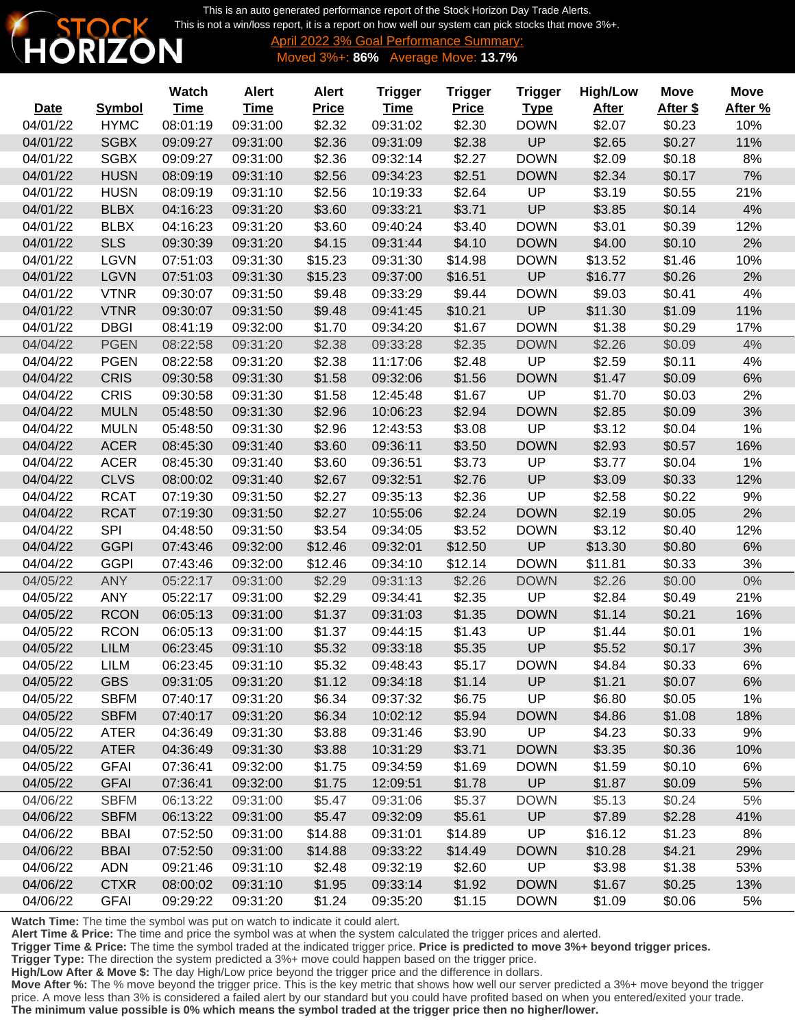This is an auto generated performance report of the Stock Horizon Day Trade Alerts. [This is not a win/loss report, it is a report on how well our system can pick stocks that move 3%+.](http://www.stockhorizon.com)



Ī

٦

April 2022 3% Goal Performance Summary: Moved 3%+: **86%** Average Move: **13.7%**

|             |               | Watch       | <b>Alert</b> | <b>Alert</b> | <b>Trigger</b> | <b>Trigger</b> | <b>Trigger</b> | <b>High/Low</b> | <b>Move</b> | <b>Move</b> |
|-------------|---------------|-------------|--------------|--------------|----------------|----------------|----------------|-----------------|-------------|-------------|
| <b>Date</b> | <b>Symbol</b> | <b>Time</b> | <b>Time</b>  | <b>Price</b> | <b>Time</b>    | <b>Price</b>   | <b>Type</b>    | <b>After</b>    | After \$    | After %     |
| 04/01/22    | <b>HYMC</b>   | 08:01:19    | 09:31:00     | \$2.32       | 09:31:02       | \$2.30         | <b>DOWN</b>    | \$2.07          | \$0.23      | 10%         |
| 04/01/22    | <b>SGBX</b>   | 09:09:27    | 09:31:00     | \$2.36       | 09:31:09       | \$2.38         | UP             | \$2.65          | \$0.27      | 11%         |
| 04/01/22    | <b>SGBX</b>   | 09:09:27    | 09:31:00     | \$2.36       | 09:32:14       | \$2.27         | <b>DOWN</b>    | \$2.09          | \$0.18      | 8%          |
| 04/01/22    | <b>HUSN</b>   | 08:09:19    | 09:31:10     | \$2.56       | 09:34:23       | \$2.51         | <b>DOWN</b>    | \$2.34          | \$0.17      | 7%          |
| 04/01/22    | <b>HUSN</b>   | 08:09:19    | 09:31:10     | \$2.56       | 10:19:33       | \$2.64         | UP             | \$3.19          | \$0.55      | 21%         |
| 04/01/22    | <b>BLBX</b>   | 04:16:23    | 09:31:20     | \$3.60       | 09:33:21       | \$3.71         | UP             | \$3.85          | \$0.14      | 4%          |
| 04/01/22    | <b>BLBX</b>   | 04:16:23    | 09:31:20     | \$3.60       | 09:40:24       | \$3.40         | <b>DOWN</b>    | \$3.01          | \$0.39      | 12%         |
| 04/01/22    | <b>SLS</b>    | 09:30:39    | 09:31:20     | \$4.15       | 09:31:44       | \$4.10         | <b>DOWN</b>    | \$4.00          | \$0.10      | 2%          |
| 04/01/22    | <b>LGVN</b>   | 07:51:03    | 09:31:30     | \$15.23      | 09:31:30       | \$14.98        | <b>DOWN</b>    | \$13.52         | \$1.46      | 10%         |
| 04/01/22    | <b>LGVN</b>   | 07:51:03    | 09:31:30     | \$15.23      | 09:37:00       | \$16.51        | UP             | \$16.77         | \$0.26      | 2%          |
| 04/01/22    | <b>VTNR</b>   | 09:30:07    | 09:31:50     | \$9.48       | 09:33:29       | \$9.44         | <b>DOWN</b>    | \$9.03          | \$0.41      | 4%          |
| 04/01/22    | <b>VTNR</b>   | 09:30:07    | 09:31:50     | \$9.48       | 09:41:45       | \$10.21        | UP             | \$11.30         | \$1.09      | 11%         |
| 04/01/22    | <b>DBGI</b>   | 08:41:19    | 09:32:00     | \$1.70       | 09:34:20       | \$1.67         | <b>DOWN</b>    | \$1.38          | \$0.29      | 17%         |
| 04/04/22    | <b>PGEN</b>   | 08:22:58    | 09:31:20     | \$2.38       | 09:33:28       | \$2.35         | <b>DOWN</b>    | \$2.26          | \$0.09      | 4%          |
| 04/04/22    | <b>PGEN</b>   | 08:22:58    | 09:31:20     | \$2.38       | 11:17:06       | \$2.48         | UP             | \$2.59          | \$0.11      | 4%          |
| 04/04/22    | <b>CRIS</b>   | 09:30:58    | 09:31:30     | \$1.58       | 09:32:06       | \$1.56         | <b>DOWN</b>    | \$1.47          | \$0.09      | 6%          |
| 04/04/22    | <b>CRIS</b>   | 09:30:58    | 09:31:30     | \$1.58       | 12:45:48       | \$1.67         | UP             | \$1.70          | \$0.03      | 2%          |
| 04/04/22    | <b>MULN</b>   | 05:48:50    | 09:31:30     | \$2.96       | 10:06:23       | \$2.94         | <b>DOWN</b>    | \$2.85          | \$0.09      | 3%          |
| 04/04/22    | <b>MULN</b>   | 05:48:50    | 09:31:30     | \$2.96       | 12:43:53       | \$3.08         | UP             | \$3.12          | \$0.04      | 1%          |
| 04/04/22    | <b>ACER</b>   | 08:45:30    | 09:31:40     | \$3.60       | 09:36:11       | \$3.50         | <b>DOWN</b>    | \$2.93          | \$0.57      | 16%         |
| 04/04/22    | <b>ACER</b>   | 08:45:30    | 09:31:40     | \$3.60       | 09:36:51       | \$3.73         | UP             | \$3.77          | \$0.04      | 1%          |
| 04/04/22    | <b>CLVS</b>   | 08:00:02    | 09:31:40     | \$2.67       | 09:32:51       | \$2.76         | UP             | \$3.09          | \$0.33      | 12%         |
| 04/04/22    | <b>RCAT</b>   | 07:19:30    | 09:31:50     | \$2.27       | 09:35:13       | \$2.36         | UP             | \$2.58          | \$0.22      | 9%          |
| 04/04/22    | <b>RCAT</b>   | 07:19:30    | 09:31:50     | \$2.27       | 10:55:06       | \$2.24         | <b>DOWN</b>    | \$2.19          | \$0.05      | 2%          |
| 04/04/22    | <b>SPI</b>    | 04:48:50    | 09:31:50     | \$3.54       | 09:34:05       | \$3.52         | <b>DOWN</b>    | \$3.12          | \$0.40      | 12%         |
| 04/04/22    | <b>GGPI</b>   | 07:43:46    | 09:32:00     | \$12.46      | 09:32:01       | \$12.50        | UP             | \$13.30         | \$0.80      | 6%          |
| 04/04/22    | <b>GGPI</b>   | 07:43:46    | 09:32:00     | \$12.46      | 09:34:10       | \$12.14        | <b>DOWN</b>    | \$11.81         | \$0.33      | 3%          |
| 04/05/22    | <b>ANY</b>    | 05:22:17    | 09:31:00     | \$2.29       | 09:31:13       | \$2.26         | <b>DOWN</b>    | \$2.26          | \$0.00      | $0\%$       |
| 04/05/22    | <b>ANY</b>    | 05:22:17    | 09:31:00     | \$2.29       | 09:34:41       | \$2.35         | UP             | \$2.84          | \$0.49      | 21%         |
| 04/05/22    | <b>RCON</b>   | 06:05:13    | 09:31:00     | \$1.37       | 09:31:03       | \$1.35         | <b>DOWN</b>    | \$1.14          | \$0.21      | 16%         |
| 04/05/22    | <b>RCON</b>   | 06:05:13    | 09:31:00     | \$1.37       | 09:44:15       | \$1.43         | UP             | \$1.44          | \$0.01      | 1%          |
| 04/05/22    | <b>LILM</b>   | 06:23:45    | 09:31:10     | \$5.32       | 09:33:18       | \$5.35         | UP             | \$5.52          | \$0.17      | 3%          |
| 04/05/22    | <b>LILM</b>   | 06:23:45    | 09:31:10     | \$5.32       | 09:48:43       | \$5.17         | <b>DOWN</b>    | \$4.84          | \$0.33      | 6%          |
| 04/05/22    | <b>GBS</b>    | 09:31:05    | 09:31:20     | \$1.12       | 09:34:18       | \$1.14         | <b>UP</b>      | \$1.21          | \$0.07      | 6%          |
| 04/05/22    | <b>SBFM</b>   | 07:40:17    | 09:31:20     | \$6.34       | 09:37:32       | \$6.75         | UP             | \$6.80          | \$0.05      | 1%          |
| 04/05/22    | <b>SBFM</b>   | 07:40:17    | 09:31:20     | \$6.34       | 10:02:12       | \$5.94         | <b>DOWN</b>    | \$4.86          | \$1.08      | 18%         |
| 04/05/22    | <b>ATER</b>   | 04:36:49    | 09:31:30     | \$3.88       | 09:31:46       | \$3.90         | UP             | \$4.23          | \$0.33      | 9%          |
| 04/05/22    | <b>ATER</b>   | 04:36:49    | 09:31:30     | \$3.88       | 10:31:29       | \$3.71         | <b>DOWN</b>    | \$3.35          | \$0.36      | 10%         |
| 04/05/22    | <b>GFAI</b>   | 07:36:41    | 09:32:00     | \$1.75       | 09:34:59       | \$1.69         | <b>DOWN</b>    | \$1.59          | \$0.10      | 6%          |
| 04/05/22    | <b>GFAI</b>   | 07:36:41    | 09:32:00     | \$1.75       | 12:09:51       | \$1.78         | UP             | \$1.87          | \$0.09      | 5%          |
| 04/06/22    | <b>SBFM</b>   | 06:13:22    | 09:31:00     | \$5.47       | 09:31:06       | \$5.37         | <b>DOWN</b>    | \$5.13          | \$0.24      | $5%$        |
| 04/06/22    | <b>SBFM</b>   | 06:13:22    | 09:31:00     | \$5.47       | 09:32:09       | \$5.61         | <b>UP</b>      | \$7.89          | \$2.28      | 41%         |
| 04/06/22    | <b>BBAI</b>   | 07:52:50    | 09:31:00     | \$14.88      | 09:31:01       | \$14.89        | UP             | \$16.12         | \$1.23      | 8%          |
| 04/06/22    | <b>BBAI</b>   | 07:52:50    | 09:31:00     | \$14.88      | 09:33:22       | \$14.49        | <b>DOWN</b>    | \$10.28         | \$4.21      | 29%         |
| 04/06/22    | <b>ADN</b>    | 09:21:46    | 09:31:10     | \$2.48       | 09:32:19       | \$2.60         | UP             | \$3.98          | \$1.38      | 53%         |
| 04/06/22    | <b>CTXR</b>   | 08:00:02    | 09:31:10     | \$1.95       | 09:33:14       | \$1.92         | <b>DOWN</b>    | \$1.67          | \$0.25      | 13%         |
| 04/06/22    | <b>GFAI</b>   | 09:29:22    | 09:31:20     | \$1.24       | 09:35:20       | \$1.15         | <b>DOWN</b>    | \$1.09          | \$0.06      | 5%          |

**Watch Time:** The time the symbol was put on watch to indicate it could alert.

**Alert Time & Price:** The time and price the symbol was at when the system calculated the trigger prices and alerted.

**Trigger Time & Price:** The time the symbol traded at the indicated trigger price. **Price is predicted to move 3%+ beyond trigger prices.**

**Trigger Type:** The direction the system predicted a 3%+ move could happen based on the trigger price.

**High/Low After & Move \$:** The day High/Low price beyond the trigger price and the difference in dollars.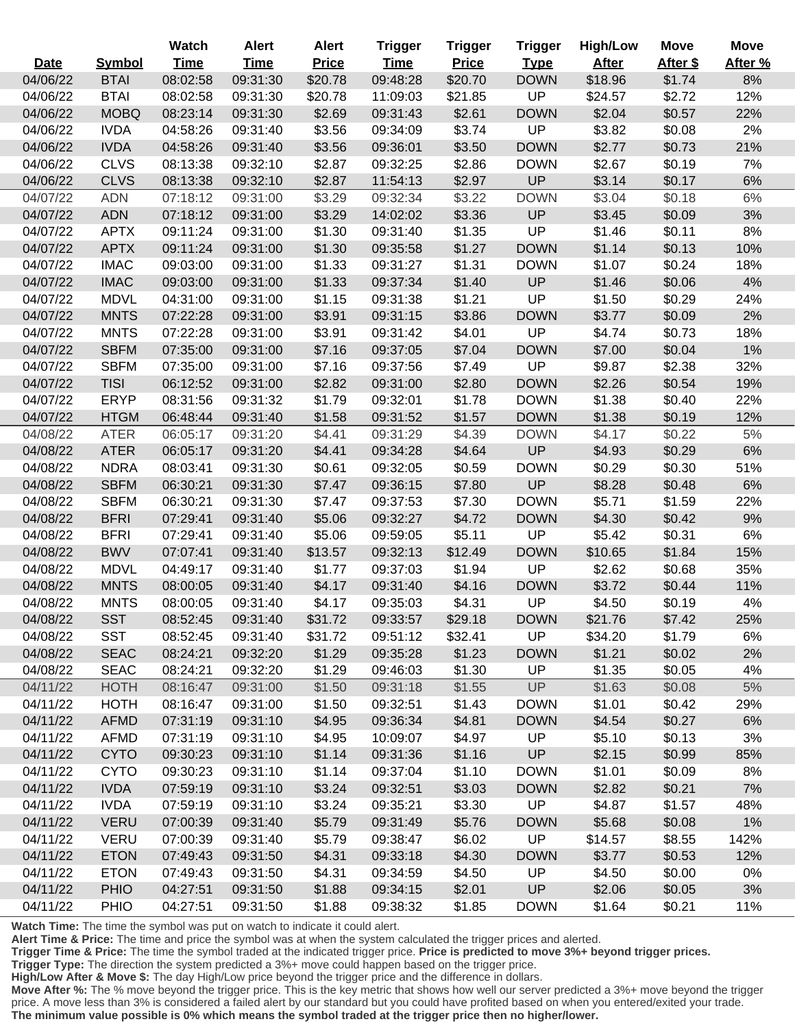|             |               | Watch       | <b>Alert</b> | <b>Alert</b> | <b>Trigger</b> | <b>Trigger</b> | <b>Trigger</b> | <b>High/Low</b> | <b>Move</b> | <b>Move</b> |
|-------------|---------------|-------------|--------------|--------------|----------------|----------------|----------------|-----------------|-------------|-------------|
| <b>Date</b> | <b>Symbol</b> | <b>Time</b> | <b>Time</b>  | <b>Price</b> | <b>Time</b>    | <b>Price</b>   | <b>Type</b>    | <b>After</b>    | After \$    | After %     |
| 04/06/22    | <b>BTAI</b>   | 08:02:58    | 09:31:30     | \$20.78      | 09:48:28       | \$20.70        | <b>DOWN</b>    | \$18.96         | \$1.74      | 8%          |
| 04/06/22    | <b>BTAI</b>   | 08:02:58    | 09:31:30     | \$20.78      | 11:09:03       | \$21.85        | UP             | \$24.57         | \$2.72      | 12%         |
| 04/06/22    | <b>MOBQ</b>   | 08:23:14    | 09:31:30     | \$2.69       | 09:31:43       | \$2.61         | <b>DOWN</b>    | \$2.04          | \$0.57      | 22%         |
| 04/06/22    | <b>IVDA</b>   | 04:58:26    | 09:31:40     | \$3.56       | 09:34:09       | \$3.74         | UP             | \$3.82          | \$0.08      | 2%          |
| 04/06/22    | <b>IVDA</b>   | 04:58:26    | 09:31:40     | \$3.56       | 09:36:01       | \$3.50         | <b>DOWN</b>    | \$2.77          | \$0.73      | 21%         |
| 04/06/22    | <b>CLVS</b>   | 08:13:38    | 09:32:10     | \$2.87       | 09:32:25       | \$2.86         | <b>DOWN</b>    | \$2.67          | \$0.19      | 7%          |
| 04/06/22    | <b>CLVS</b>   | 08:13:38    | 09:32:10     | \$2.87       | 11:54:13       | \$2.97         | UP             | \$3.14          | \$0.17      | 6%          |
| 04/07/22    | <b>ADN</b>    | 07:18:12    | 09:31:00     | \$3.29       | 09:32:34       | \$3.22         | <b>DOWN</b>    | \$3.04          | \$0.18      | 6%          |
| 04/07/22    | <b>ADN</b>    | 07:18:12    | 09:31:00     | \$3.29       | 14:02:02       | \$3.36         | UP             | \$3.45          | \$0.09      | 3%          |
| 04/07/22    | <b>APTX</b>   | 09:11:24    | 09:31:00     | \$1.30       | 09:31:40       | \$1.35         | UP             | \$1.46          | \$0.11      | 8%          |
| 04/07/22    | <b>APTX</b>   | 09:11:24    | 09:31:00     | \$1.30       | 09:35:58       | \$1.27         | <b>DOWN</b>    | \$1.14          | \$0.13      | 10%         |
| 04/07/22    | <b>IMAC</b>   | 09:03:00    | 09:31:00     | \$1.33       | 09:31:27       | \$1.31         | <b>DOWN</b>    | \$1.07          | \$0.24      | 18%         |
| 04/07/22    | <b>IMAC</b>   | 09:03:00    | 09:31:00     | \$1.33       | 09:37:34       | \$1.40         | UP             | \$1.46          | \$0.06      | $4%$        |
| 04/07/22    | <b>MDVL</b>   | 04:31:00    | 09:31:00     | \$1.15       | 09:31:38       | \$1.21         | UP             | \$1.50          | \$0.29      | 24%         |
| 04/07/22    | <b>MNTS</b>   | 07:22:28    | 09:31:00     | \$3.91       | 09:31:15       | \$3.86         | <b>DOWN</b>    | \$3.77          | \$0.09      | 2%          |
| 04/07/22    | <b>MNTS</b>   | 07:22:28    | 09:31:00     | \$3.91       | 09:31:42       | \$4.01         | UP             | \$4.74          | \$0.73      | 18%         |
| 04/07/22    | <b>SBFM</b>   | 07:35:00    | 09:31:00     | \$7.16       | 09:37:05       | \$7.04         | <b>DOWN</b>    | \$7.00          | \$0.04      | 1%          |
| 04/07/22    | <b>SBFM</b>   | 07:35:00    | 09:31:00     | \$7.16       | 09:37:56       | \$7.49         | UP             | \$9.87          | \$2.38      | 32%         |
| 04/07/22    | <b>TISI</b>   | 06:12:52    | 09:31:00     | \$2.82       | 09:31:00       | \$2.80         | <b>DOWN</b>    | \$2.26          | \$0.54      | 19%         |
| 04/07/22    | <b>ERYP</b>   | 08:31:56    | 09:31:32     | \$1.79       | 09:32:01       | \$1.78         | <b>DOWN</b>    | \$1.38          | \$0.40      | 22%         |
| 04/07/22    | <b>HTGM</b>   | 06:48:44    | 09:31:40     | \$1.58       | 09:31:52       | \$1.57         | <b>DOWN</b>    | \$1.38          | \$0.19      | 12%         |
| 04/08/22    | <b>ATER</b>   | 06:05:17    | 09:31:20     | \$4.41       | 09:31:29       | \$4.39         | <b>DOWN</b>    | \$4.17          | \$0.22      | $5%$        |
| 04/08/22    | <b>ATER</b>   | 06:05:17    | 09:31:20     | \$4.41       | 09:34:28       | \$4.64         | UP             | \$4.93          | \$0.29      | $6\%$       |
| 04/08/22    | <b>NDRA</b>   | 08:03:41    | 09:31:30     | \$0.61       | 09:32:05       | \$0.59         | <b>DOWN</b>    | \$0.29          | \$0.30      | 51%         |
| 04/08/22    | <b>SBFM</b>   | 06:30:21    | 09:31:30     | \$7.47       | 09:36:15       | \$7.80         | UP             | \$8.28          | \$0.48      | $6\%$       |
| 04/08/22    | <b>SBFM</b>   | 06:30:21    | 09:31:30     | \$7.47       | 09:37:53       | \$7.30         | <b>DOWN</b>    | \$5.71          | \$1.59      | 22%         |
| 04/08/22    | <b>BFRI</b>   | 07:29:41    | 09:31:40     | \$5.06       | 09:32:27       | \$4.72         | <b>DOWN</b>    | \$4.30          | \$0.42      | 9%          |
| 04/08/22    | <b>BFRI</b>   | 07:29:41    | 09:31:40     | \$5.06       | 09:59:05       | \$5.11         | UP             | \$5.42          | \$0.31      | 6%          |
| 04/08/22    | <b>BWV</b>    | 07:07:41    | 09:31:40     | \$13.57      | 09:32:13       | \$12.49        | <b>DOWN</b>    | \$10.65         | \$1.84      | 15%         |
| 04/08/22    | <b>MDVL</b>   | 04:49:17    | 09:31:40     | \$1.77       | 09:37:03       | \$1.94         | UP             | \$2.62          | \$0.68      | 35%         |
| 04/08/22    | <b>MNTS</b>   | 08:00:05    | 09:31:40     | \$4.17       | 09:31:40       | \$4.16         | <b>DOWN</b>    | \$3.72          | \$0.44      | 11%         |
| 04/08/22    | <b>MNTS</b>   | 08:00:05    | 09:31:40     | \$4.17       | 09:35:03       | \$4.31         | UP             | \$4.50          | \$0.19      | 4%          |
| 04/08/22    | <b>SST</b>    | 08:52:45    | 09:31:40     | \$31.72      | 09:33:57       | \$29.18        | <b>DOWN</b>    | \$21.76         | \$7.42      | 25%         |
| 04/08/22    | <b>SST</b>    | 08:52:45    | 09:31:40     | \$31.72      | 09:51:12       | \$32.41        | <b>UP</b>      | \$34.20         | \$1.79      | 6%          |
| 04/08/22    | <b>SEAC</b>   | 08:24:21    | 09:32:20     | \$1.29       | 09:35:28       | \$1.23         | <b>DOWN</b>    | \$1.21          | \$0.02      | 2%          |
| 04/08/22    | <b>SEAC</b>   | 08:24:21    | 09:32:20     | \$1.29       | 09:46:03       | \$1.30         | <b>UP</b>      | \$1.35          | \$0.05      | 4%          |
| 04/11/22    | <b>HOTH</b>   | 08:16:47    | 09:31:00     | \$1.50       | 09:31:18       | \$1.55         | UP             | \$1.63          | \$0.08      | $5%$        |
| 04/11/22    | <b>HOTH</b>   | 08:16:47    | 09:31:00     | \$1.50       | 09:32:51       | \$1.43         | <b>DOWN</b>    | \$1.01          | \$0.42      | 29%         |
| 04/11/22    | <b>AFMD</b>   | 07:31:19    | 09:31:10     | \$4.95       | 09:36:34       | \$4.81         | <b>DOWN</b>    | \$4.54          | \$0.27      | 6%          |
| 04/11/22    | <b>AFMD</b>   | 07:31:19    | 09:31:10     | \$4.95       | 10:09:07       | \$4.97         | <b>UP</b>      | \$5.10          | \$0.13      | 3%          |
| 04/11/22    | <b>CYTO</b>   | 09:30:23    | 09:31:10     | \$1.14       | 09:31:36       | \$1.16         | UP             | \$2.15          | \$0.99      | 85%         |
| 04/11/22    | <b>CYTO</b>   | 09:30:23    | 09:31:10     | \$1.14       | 09:37:04       | \$1.10         | <b>DOWN</b>    | \$1.01          | \$0.09      | 8%          |
| 04/11/22    | <b>IVDA</b>   | 07:59:19    | 09:31:10     | \$3.24       | 09:32:51       | \$3.03         | <b>DOWN</b>    | \$2.82          | \$0.21      | 7%          |
| 04/11/22    | <b>IVDA</b>   | 07:59:19    | 09:31:10     | \$3.24       | 09:35:21       | \$3.30         | <b>UP</b>      | \$4.87          | \$1.57      | 48%         |
| 04/11/22    | <b>VERU</b>   | 07:00:39    | 09:31:40     | \$5.79       | 09:31:49       | \$5.76         | <b>DOWN</b>    | \$5.68          | \$0.08      | 1%          |
| 04/11/22    | <b>VERU</b>   | 07:00:39    | 09:31:40     | \$5.79       | 09:38:47       | \$6.02         | <b>UP</b>      | \$14.57         | \$8.55      | 142%        |
| 04/11/22    | <b>ETON</b>   | 07:49:43    | 09:31:50     | \$4.31       | 09:33:18       | \$4.30         | <b>DOWN</b>    | \$3.77          | \$0.53      | 12%         |
| 04/11/22    | <b>ETON</b>   | 07:49:43    | 09:31:50     | \$4.31       | 09:34:59       | \$4.50         | <b>UP</b>      | \$4.50          | \$0.00      | 0%          |
| 04/11/22    | <b>PHIO</b>   | 04:27:51    | 09:31:50     | \$1.88       | 09:34:15       | \$2.01         | UP             | \$2.06          | \$0.05      | 3%          |
| 04/11/22    | <b>PHIO</b>   | 04:27:51    | 09:31:50     | \$1.88       | 09:38:32       | \$1.85         | <b>DOWN</b>    | \$1.64          | \$0.21      | 11%         |

 $\overline{a}$ 

**Alert Time & Price:** The time and price the symbol was at when the system calculated the trigger prices and alerted.

**Trigger Time & Price:** The time the symbol traded at the indicated trigger price. **Price is predicted to move 3%+ beyond trigger prices.**

**Trigger Type:** The direction the system predicted a 3%+ move could happen based on the trigger price.

**High/Low After & Move \$:** The day High/Low price beyond the trigger price and the difference in dollars.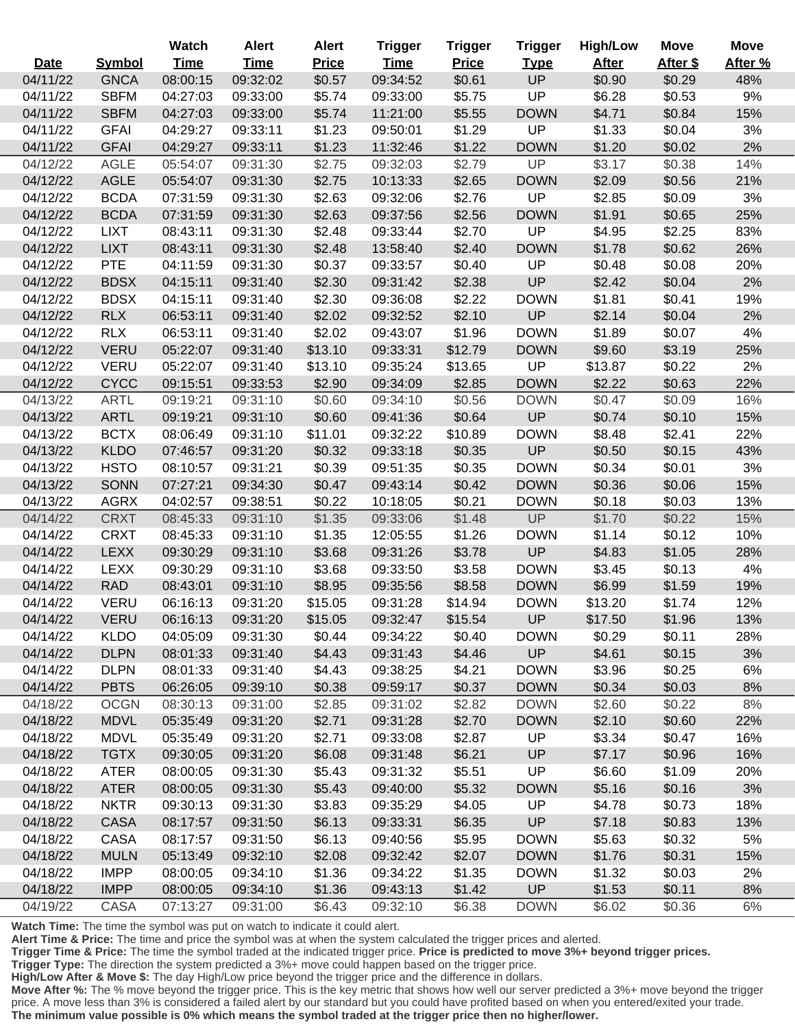|             |               | Watch       | <b>Alert</b> | <b>Alert</b> | <b>Trigger</b> | <b>Trigger</b> | <b>Trigger</b> | <b>High/Low</b> | <b>Move</b> | <b>Move</b> |
|-------------|---------------|-------------|--------------|--------------|----------------|----------------|----------------|-----------------|-------------|-------------|
| <b>Date</b> | <b>Symbol</b> | <b>Time</b> | <b>Time</b>  | <b>Price</b> | <b>Time</b>    | <b>Price</b>   | <b>Type</b>    | <b>After</b>    | After \$    | After %     |
| 04/11/22    | <b>GNCA</b>   | 08:00:15    | 09:32:02     | \$0.57       | 09:34:52       | \$0.61         | <b>UP</b>      | \$0.90          | \$0.29      | 48%         |
| 04/11/22    | <b>SBFM</b>   | 04:27:03    | 09:33:00     | \$5.74       | 09:33:00       | \$5.75         | UP             | \$6.28          | \$0.53      | 9%          |
| 04/11/22    | <b>SBFM</b>   | 04:27:03    | 09:33:00     | \$5.74       | 11:21:00       | \$5.55         | <b>DOWN</b>    | \$4.71          | \$0.84      | 15%         |
| 04/11/22    | <b>GFAI</b>   | 04:29:27    | 09:33:11     | \$1.23       | 09:50:01       | \$1.29         | UP             | \$1.33          | \$0.04      | 3%          |
| 04/11/22    | <b>GFAI</b>   | 04:29:27    | 09:33:11     | \$1.23       | 11:32:46       | \$1.22         | <b>DOWN</b>    | \$1.20          | \$0.02      | 2%          |
| 04/12/22    | <b>AGLE</b>   | 05:54:07    | 09:31:30     | \$2.75       | 09:32:03       | \$2.79         | UP             | \$3.17          | \$0.38      | 14%         |
| 04/12/22    | <b>AGLE</b>   | 05:54:07    | 09:31:30     | \$2.75       | 10:13:33       | \$2.65         | <b>DOWN</b>    | \$2.09          | \$0.56      | 21%         |
| 04/12/22    | <b>BCDA</b>   | 07:31:59    | 09:31:30     | \$2.63       | 09:32:06       | \$2.76         | UP             | \$2.85          | \$0.09      | 3%          |
| 04/12/22    | <b>BCDA</b>   | 07:31:59    | 09:31:30     | \$2.63       | 09:37:56       | \$2.56         | <b>DOWN</b>    | \$1.91          | \$0.65      | 25%         |
| 04/12/22    | <b>LIXT</b>   | 08:43:11    | 09:31:30     | \$2.48       | 09:33:44       | \$2.70         | <b>UP</b>      | \$4.95          | \$2.25      | 83%         |
| 04/12/22    | <b>LIXT</b>   | 08:43:11    | 09:31:30     | \$2.48       | 13:58:40       | \$2.40         | <b>DOWN</b>    | \$1.78          | \$0.62      | 26%         |
| 04/12/22    | <b>PTE</b>    | 04:11:59    | 09:31:30     | \$0.37       | 09:33:57       | \$0.40         | UP             | \$0.48          | \$0.08      | 20%         |
| 04/12/22    | <b>BDSX</b>   | 04:15:11    | 09:31:40     | \$2.30       | 09:31:42       | \$2.38         | UP             | \$2.42          | \$0.04      | 2%          |
| 04/12/22    | <b>BDSX</b>   | 04:15:11    | 09:31:40     | \$2.30       | 09:36:08       | \$2.22         | <b>DOWN</b>    | \$1.81          | \$0.41      | 19%         |
| 04/12/22    | <b>RLX</b>    | 06:53:11    | 09:31:40     | \$2.02       | 09:32:52       | \$2.10         | UP             | \$2.14          | \$0.04      | 2%          |
| 04/12/22    | <b>RLX</b>    | 06:53:11    | 09:31:40     | \$2.02       | 09:43:07       | \$1.96         | <b>DOWN</b>    | \$1.89          | \$0.07      | 4%          |
| 04/12/22    | <b>VERU</b>   | 05:22:07    | 09:31:40     | \$13.10      | 09:33:31       | \$12.79        | <b>DOWN</b>    | \$9.60          | \$3.19      | 25%         |
| 04/12/22    | <b>VERU</b>   | 05:22:07    | 09:31:40     | \$13.10      | 09:35:24       | \$13.65        | UP             | \$13.87         | \$0.22      | 2%          |
| 04/12/22    | <b>CYCC</b>   | 09:15:51    | 09:33:53     | \$2.90       | 09:34:09       | \$2.85         | <b>DOWN</b>    | \$2.22          | \$0.63      | 22%         |
| 04/13/22    | <b>ARTL</b>   | 09:19:21    | 09:31:10     | \$0.60       | 09:34:10       | \$0.56         | <b>DOWN</b>    | \$0.47          | \$0.09      | 16%         |
| 04/13/22    | <b>ARTL</b>   | 09:19:21    | 09:31:10     | \$0.60       | 09:41:36       | \$0.64         | UP             | \$0.74          | \$0.10      | 15%         |
| 04/13/22    | <b>BCTX</b>   | 08:06:49    | 09:31:10     | \$11.01      | 09:32:22       | \$10.89        | <b>DOWN</b>    | \$8.48          | \$2.41      | 22%         |
| 04/13/22    | <b>KLDO</b>   | 07:46:57    | 09:31:20     | \$0.32       | 09:33:18       | \$0.35         | UP             | \$0.50          | \$0.15      | 43%         |
| 04/13/22    | <b>HSTO</b>   | 08:10:57    | 09:31:21     | \$0.39       | 09:51:35       | \$0.35         | <b>DOWN</b>    | \$0.34          | \$0.01      | 3%          |
| 04/13/22    | <b>SONN</b>   | 07:27:21    | 09:34:30     | \$0.47       | 09:43:14       | \$0.42         | <b>DOWN</b>    | \$0.36          | \$0.06      | 15%         |
| 04/13/22    | <b>AGRX</b>   | 04:02:57    | 09:38:51     | \$0.22       | 10:18:05       | \$0.21         | <b>DOWN</b>    | \$0.18          | \$0.03      | 13%         |
| 04/14/22    | <b>CRXT</b>   | 08:45:33    | 09:31:10     | \$1.35       | 09:33:06       | \$1.48         | UP             | \$1.70          | \$0.22      | 15%         |
| 04/14/22    | <b>CRXT</b>   | 08:45:33    | 09:31:10     | \$1.35       | 12:05:55       | \$1.26         | <b>DOWN</b>    | \$1.14          | \$0.12      | 10%         |
| 04/14/22    | <b>LEXX</b>   | 09:30:29    | 09:31:10     | \$3.68       | 09:31:26       | \$3.78         | UP             | \$4.83          | \$1.05      | 28%         |
| 04/14/22    | <b>LEXX</b>   | 09:30:29    | 09:31:10     | \$3.68       | 09:33:50       | \$3.58         | <b>DOWN</b>    | \$3.45          | \$0.13      | 4%          |
| 04/14/22    | <b>RAD</b>    | 08:43:01    | 09:31:10     | \$8.95       | 09:35:56       | \$8.58         | <b>DOWN</b>    | \$6.99          | \$1.59      | 19%         |
| 04/14/22    | <b>VERU</b>   | 06:16:13    | 09:31:20     | \$15.05      | 09:31:28       | \$14.94        | <b>DOWN</b>    | \$13.20         | \$1.74      | 12%         |
| 04/14/22    | <b>VERU</b>   | 06:16:13    | 09:31:20     | \$15.05      | 09:32:47       | \$15.54        | <b>UP</b>      | \$17.50         | \$1.96      | 13%         |
| 04/14/22    | <b>KLDO</b>   | 04:05:09    | 09:31:30     | \$0.44       | 09:34:22       | \$0.40         | <b>DOWN</b>    | \$0.29          | \$0.11      | 28%         |
| 04/14/22    | <b>DLPN</b>   | 08:01:33    | 09:31:40     | \$4.43       | 09:31:43       | \$4.46         | <b>UP</b>      | \$4.61          | \$0.15      | 3%          |
| 04/14/22    | <b>DLPN</b>   | 08:01:33    | 09:31:40     | \$4.43       | 09:38:25       | \$4.21         | <b>DOWN</b>    | \$3.96          | \$0.25      | 6%          |
| 04/14/22    | <b>PBTS</b>   | 06:26:05    | 09:39:10     | \$0.38       | 09:59:17       | \$0.37         | <b>DOWN</b>    | \$0.34          | \$0.03      | 8%          |
| 04/18/22    | <b>OCGN</b>   | 08:30:13    | 09:31:00     | \$2.85       | 09:31:02       | \$2.82         | <b>DOWN</b>    | \$2.60          | \$0.22      | 8%          |
| 04/18/22    | <b>MDVL</b>   | 05:35:49    | 09:31:20     | \$2.71       | 09:31:28       | \$2.70         | <b>DOWN</b>    | \$2.10          | \$0.60      | 22%         |
| 04/18/22    | <b>MDVL</b>   | 05:35:49    | 09:31:20     | \$2.71       | 09:33:08       | \$2.87         | <b>UP</b>      | \$3.34          | \$0.47      | 16%         |
| 04/18/22    | <b>TGTX</b>   | 09:30:05    | 09:31:20     | \$6.08       | 09:31:48       | \$6.21         | UP             | \$7.17          | \$0.96      | 16%         |
| 04/18/22    | ATER          | 08:00:05    | 09:31:30     | \$5.43       | 09:31:32       | \$5.51         | UP             | \$6.60          | \$1.09      | 20%         |
| 04/18/22    | <b>ATER</b>   | 08:00:05    | 09:31:30     | \$5.43       | 09:40:00       | \$5.32         | <b>DOWN</b>    | \$5.16          | \$0.16      | 3%          |
| 04/18/22    | <b>NKTR</b>   | 09:30:13    | 09:31:30     | \$3.83       | 09:35:29       | \$4.05         | UP             | \$4.78          | \$0.73      | 18%         |
| 04/18/22    | <b>CASA</b>   | 08:17:57    | 09:31:50     | \$6.13       | 09:33:31       | \$6.35         | <b>UP</b>      | \$7.18          | \$0.83      | 13%         |
| 04/18/22    | CASA          | 08:17:57    | 09:31:50     | \$6.13       | 09:40:56       | \$5.95         | <b>DOWN</b>    | \$5.63          | \$0.32      | 5%          |
| 04/18/22    | <b>MULN</b>   | 05:13:49    | 09:32:10     | \$2.08       | 09:32:42       | \$2.07         | <b>DOWN</b>    | \$1.76          | \$0.31      | 15%         |
| 04/18/22    | <b>IMPP</b>   | 08:00:05    | 09:34:10     | \$1.36       | 09:34:22       | \$1.35         | <b>DOWN</b>    | \$1.32          | \$0.03      | 2%          |
| 04/18/22    | <b>IMPP</b>   | 08:00:05    | 09:34:10     | \$1.36       | 09:43:13       | \$1.42         | <b>UP</b>      | \$1.53          | \$0.11      | 8%          |
| 04/19/22    | CASA          | 07:13:27    | 09:31:00     | \$6.43       | 09:32:10       | \$6.38         | <b>DOWN</b>    | \$6.02          | \$0.36      | 6%          |

 $\overline{a}$ 

 $\overline{a}$ 

Ī

i<br>L

**Alert Time & Price:** The time and price the symbol was at when the system calculated the trigger prices and alerted.

**Trigger Time & Price:** The time the symbol traded at the indicated trigger price. **Price is predicted to move 3%+ beyond trigger prices.**

**Trigger Type:** The direction the system predicted a 3%+ move could happen based on the trigger price.

**High/Low After & Move \$:** The day High/Low price beyond the trigger price and the difference in dollars.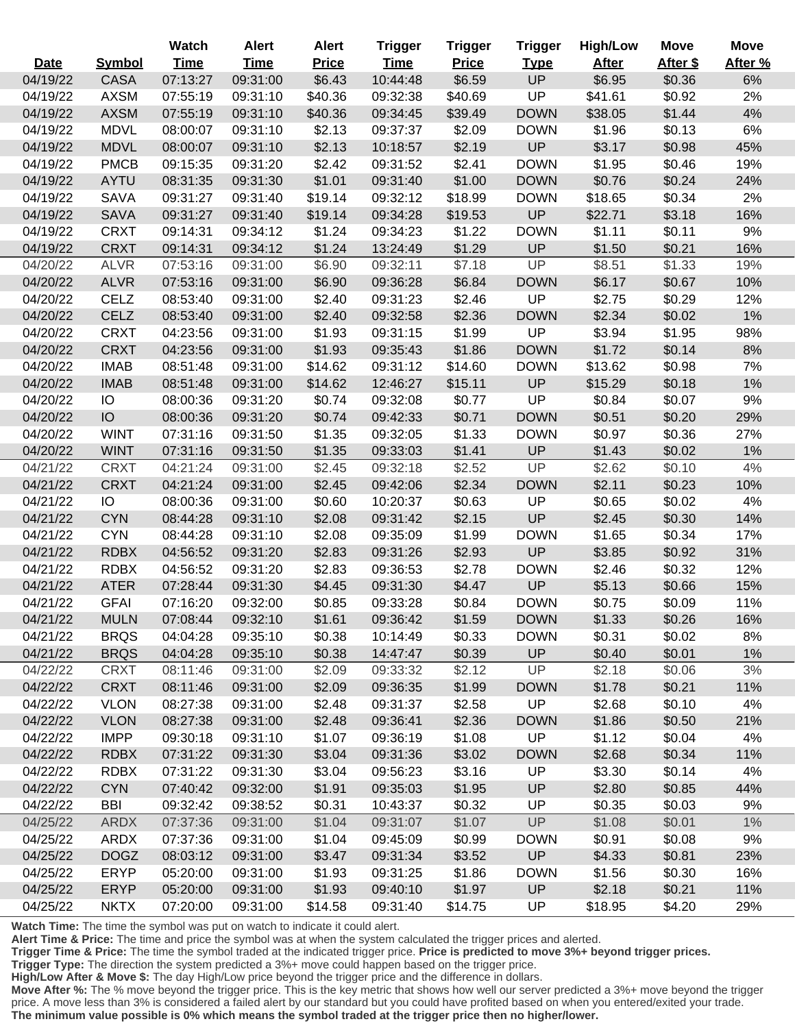|             |               | Watch       | <b>Alert</b> | <b>Alert</b> | <b>Trigger</b> | <b>Trigger</b> | <b>Trigger</b> | <b>High/Low</b> | <b>Move</b> | Move    |
|-------------|---------------|-------------|--------------|--------------|----------------|----------------|----------------|-----------------|-------------|---------|
| <b>Date</b> | <b>Symbol</b> | <b>Time</b> | <u>Time</u>  | <b>Price</b> | <b>Time</b>    | <b>Price</b>   | <b>Type</b>    | <b>After</b>    | After \$    | After % |
| 04/19/22    | <b>CASA</b>   | 07:13:27    | 09:31:00     | \$6.43       | 10:44:48       | \$6.59         | UP             | \$6.95          | \$0.36      | 6%      |
| 04/19/22    | <b>AXSM</b>   | 07:55:19    | 09:31:10     | \$40.36      | 09:32:38       | \$40.69        | UP             | \$41.61         | \$0.92      | 2%      |
| 04/19/22    | <b>AXSM</b>   | 07:55:19    | 09:31:10     | \$40.36      | 09:34:45       | \$39.49        | <b>DOWN</b>    | \$38.05         | \$1.44      | 4%      |
| 04/19/22    | <b>MDVL</b>   | 08:00:07    | 09:31:10     | \$2.13       | 09:37:37       | \$2.09         | <b>DOWN</b>    | \$1.96          | \$0.13      | 6%      |
| 04/19/22    | <b>MDVL</b>   | 08:00:07    | 09:31:10     | \$2.13       | 10:18:57       | \$2.19         | <b>UP</b>      | \$3.17          | \$0.98      | 45%     |
| 04/19/22    | <b>PMCB</b>   | 09:15:35    | 09:31:20     | \$2.42       | 09:31:52       | \$2.41         | <b>DOWN</b>    | \$1.95          | \$0.46      | 19%     |
| 04/19/22    | <b>AYTU</b>   | 08:31:35    | 09:31:30     | \$1.01       | 09:31:40       | \$1.00         | <b>DOWN</b>    | \$0.76          | \$0.24      | 24%     |
| 04/19/22    | <b>SAVA</b>   | 09:31:27    | 09:31:40     | \$19.14      | 09:32:12       | \$18.99        | <b>DOWN</b>    | \$18.65         | \$0.34      | 2%      |
| 04/19/22    | <b>SAVA</b>   | 09:31:27    | 09:31:40     | \$19.14      | 09:34:28       | \$19.53        | <b>UP</b>      | \$22.71         | \$3.18      | 16%     |
| 04/19/22    | <b>CRXT</b>   | 09:14:31    | 09:34:12     | \$1.24       | 09:34:23       | \$1.22         | <b>DOWN</b>    | \$1.11          | \$0.11      | 9%      |
| 04/19/22    | <b>CRXT</b>   | 09:14:31    | 09:34:12     | \$1.24       | 13:24:49       | \$1.29         | <b>UP</b>      | \$1.50          | \$0.21      | 16%     |
| 04/20/22    | <b>ALVR</b>   | 07:53:16    | 09:31:00     | \$6.90       | 09:32:11       | \$7.18         | UP             | \$8.51          | \$1.33      | 19%     |
| 04/20/22    | <b>ALVR</b>   | 07:53:16    | 09:31:00     | \$6.90       | 09:36:28       | \$6.84         | <b>DOWN</b>    | \$6.17          | \$0.67      | 10%     |
| 04/20/22    | <b>CELZ</b>   | 08:53:40    | 09:31:00     | \$2.40       | 09:31:23       | \$2.46         | <b>UP</b>      | \$2.75          | \$0.29      | 12%     |
| 04/20/22    | <b>CELZ</b>   | 08:53:40    | 09:31:00     | \$2.40       | 09:32:58       | \$2.36         | <b>DOWN</b>    | \$2.34          | \$0.02      | 1%      |
| 04/20/22    | <b>CRXT</b>   | 04:23:56    | 09:31:00     | \$1.93       | 09:31:15       | \$1.99         | UP             | \$3.94          | \$1.95      | 98%     |
| 04/20/22    | <b>CRXT</b>   | 04:23:56    | 09:31:00     | \$1.93       | 09:35:43       | \$1.86         | <b>DOWN</b>    | \$1.72          | \$0.14      | 8%      |
| 04/20/22    | <b>IMAB</b>   | 08:51:48    | 09:31:00     | \$14.62      | 09:31:12       | \$14.60        | <b>DOWN</b>    | \$13.62         | \$0.98      | 7%      |
| 04/20/22    | <b>IMAB</b>   | 08:51:48    | 09:31:00     | \$14.62      | 12:46:27       | \$15.11        | <b>UP</b>      | \$15.29         | \$0.18      | 1%      |
| 04/20/22    | IO            | 08:00:36    | 09:31:20     | \$0.74       | 09:32:08       | \$0.77         | UP             | \$0.84          | \$0.07      | 9%      |
| 04/20/22    | IO            | 08:00:36    | 09:31:20     | \$0.74       | 09:42:33       | \$0.71         | <b>DOWN</b>    | \$0.51          | \$0.20      | 29%     |
| 04/20/22    | <b>WINT</b>   | 07:31:16    | 09:31:50     | \$1.35       | 09:32:05       | \$1.33         | <b>DOWN</b>    | \$0.97          | \$0.36      | 27%     |
| 04/20/22    | <b>WINT</b>   | 07:31:16    | 09:31:50     | \$1.35       | 09:33:03       | \$1.41         | <b>UP</b>      | \$1.43          | \$0.02      | 1%      |
| 04/21/22    | <b>CRXT</b>   | 04:21:24    | 09:31:00     | \$2.45       | 09:32:18       | \$2.52         | UP             | \$2.62          | \$0.10      | 4%      |
| 04/21/22    | <b>CRXT</b>   | 04:21:24    | 09:31:00     | \$2.45       | 09:42:06       | \$2.34         | <b>DOWN</b>    | \$2.11          | \$0.23      | 10%     |
| 04/21/22    | IO            | 08:00:36    | 09:31:00     | \$0.60       | 10:20:37       | \$0.63         | <b>UP</b>      | \$0.65          | \$0.02      | 4%      |
| 04/21/22    | <b>CYN</b>    | 08:44:28    | 09:31:10     | \$2.08       | 09:31:42       | \$2.15         | <b>UP</b>      | \$2.45          | \$0.30      | 14%     |
| 04/21/22    | <b>CYN</b>    | 08:44:28    | 09:31:10     | \$2.08       | 09:35:09       | \$1.99         | <b>DOWN</b>    | \$1.65          | \$0.34      | 17%     |
| 04/21/22    | <b>RDBX</b>   | 04:56:52    | 09:31:20     | \$2.83       | 09:31:26       | \$2.93         | <b>UP</b>      | \$3.85          | \$0.92      | 31%     |
| 04/21/22    | <b>RDBX</b>   | 04:56:52    | 09:31:20     | \$2.83       | 09:36:53       | \$2.78         | <b>DOWN</b>    | \$2.46          | \$0.32      | 12%     |
| 04/21/22    | <b>ATER</b>   | 07:28:44    | 09:31:30     | \$4.45       | 09:31:30       | \$4.47         | <b>UP</b>      | \$5.13          | \$0.66      | 15%     |
| 04/21/22    | <b>GFAI</b>   | 07:16:20    | 09:32:00     | \$0.85       | 09:33:28       | \$0.84         | <b>DOWN</b>    | \$0.75          | \$0.09      | 11%     |
| 04/21/22    | <b>MULN</b>   | 07:08:44    | 09:32:10     | \$1.61       | 09:36:42       | \$1.59         | <b>DOWN</b>    | \$1.33          | \$0.26      | 16%     |
| 04/21/22    | <b>BRQS</b>   | 04:04:28    | 09:35:10     | \$0.38       | 10:14:49       | \$0.33         | <b>DOWN</b>    | \$0.31          | \$0.02      | 8%      |
| 04/21/22    | <b>BRQS</b>   | 04:04:28    | 09:35:10     | \$0.38       | 14:47:47       | \$0.39         | <b>UP</b>      | \$0.40          | \$0.01      | 1%      |
| 04/22/22    | <b>CRXT</b>   | 08:11:46    | 09:31:00     | \$2.09       | 09:33:32       | \$2.12         | UP             | \$2.18          | \$0.06      | 3%      |
| 04/22/22    | <b>CRXT</b>   | 08:11:46    | 09:31:00     | \$2.09       | 09:36:35       | \$1.99         | <b>DOWN</b>    | \$1.78          | \$0.21      | 11%     |
| 04/22/22    | <b>VLON</b>   | 08:27:38    | 09:31:00     | \$2.48       | 09:31:37       | \$2.58         | UP             | \$2.68          | \$0.10      | 4%      |
| 04/22/22    | <b>VLON</b>   | 08:27:38    | 09:31:00     | \$2.48       | 09:36:41       | \$2.36         | <b>DOWN</b>    | \$1.86          | \$0.50      | 21%     |
| 04/22/22    | <b>IMPP</b>   | 09:30:18    | 09:31:10     | \$1.07       | 09:36:19       | \$1.08         | UP             | \$1.12          | \$0.04      | 4%      |
| 04/22/22    | <b>RDBX</b>   | 07:31:22    | 09:31:30     | \$3.04       | 09:31:36       | \$3.02         | <b>DOWN</b>    | \$2.68          | \$0.34      | 11%     |
| 04/22/22    | <b>RDBX</b>   | 07:31:22    | 09:31:30     | \$3.04       | 09:56:23       | \$3.16         | UP             | \$3.30          | \$0.14      | 4%      |
| 04/22/22    | <b>CYN</b>    | 07:40:42    | 09:32:00     | \$1.91       | 09:35:03       | \$1.95         | <b>UP</b>      | \$2.80          | \$0.85      | 44%     |
| 04/22/22    | <b>BBI</b>    | 09:32:42    | 09:38:52     | \$0.31       | 10:43:37       | \$0.32         | <b>UP</b>      | \$0.35          | \$0.03      | 9%      |
| 04/25/22    | <b>ARDX</b>   | 07:37:36    | 09:31:00     | \$1.04       | 09:31:07       | \$1.07         | UP             | \$1.08          | \$0.01      | $1\%$   |
| 04/25/22    | ARDX          | 07:37:36    | 09:31:00     | \$1.04       | 09:45:09       | \$0.99         | <b>DOWN</b>    | \$0.91          | \$0.08      | 9%      |
| 04/25/22    | <b>DOGZ</b>   | 08:03:12    | 09:31:00     | \$3.47       | 09:31:34       | \$3.52         | UP             | \$4.33          | \$0.81      | 23%     |
| 04/25/22    | <b>ERYP</b>   | 05:20:00    | 09:31:00     | \$1.93       | 09:31:25       | \$1.86         | <b>DOWN</b>    | \$1.56          | \$0.30      | 16%     |
| 04/25/22    | <b>ERYP</b>   | 05:20:00    | 09:31:00     | \$1.93       | 09:40:10       | \$1.97         | UP             | \$2.18          | \$0.21      | 11%     |
| 04/25/22    | <b>NKTX</b>   | 07:20:00    | 09:31:00     | \$14.58      | 09:31:40       | \$14.75        | <b>UP</b>      | \$18.95         | \$4.20      | 29%     |

**Alert Time & Price:** The time and price the symbol was at when the system calculated the trigger prices and alerted.

**Trigger Time & Price:** The time the symbol traded at the indicated trigger price. **Price is predicted to move 3%+ beyond trigger prices.**

**Trigger Type:** The direction the system predicted a 3%+ move could happen based on the trigger price.

**High/Low After & Move \$:** The day High/Low price beyond the trigger price and the difference in dollars.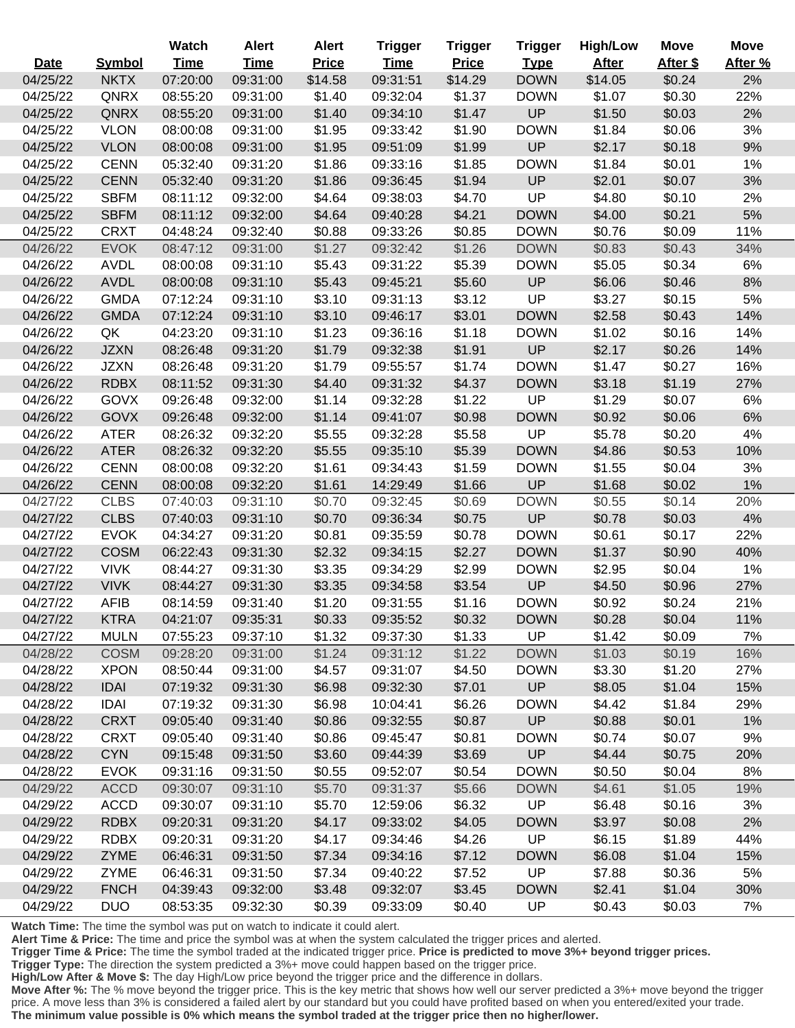|             |               | Watch       | <b>Alert</b> | <b>Alert</b> | <b>Trigger</b> | <b>Trigger</b> | <b>Trigger</b> | <b>High/Low</b> | <b>Move</b> | Move    |
|-------------|---------------|-------------|--------------|--------------|----------------|----------------|----------------|-----------------|-------------|---------|
| <b>Date</b> | <b>Symbol</b> | <b>Time</b> | <b>Time</b>  | <b>Price</b> | <b>Time</b>    | <b>Price</b>   | <b>Type</b>    | <b>After</b>    | After \$    | After % |
| 04/25/22    | <b>NKTX</b>   | 07:20:00    | 09:31:00     | \$14.58      | 09:31:51       | \$14.29        | <b>DOWN</b>    | \$14.05         | \$0.24      | 2%      |
| 04/25/22    | QNRX          | 08:55:20    | 09:31:00     | \$1.40       | 09:32:04       | \$1.37         | <b>DOWN</b>    | \$1.07          | \$0.30      | 22%     |
| 04/25/22    | QNRX          | 08:55:20    | 09:31:00     | \$1.40       | 09:34:10       | \$1.47         | UP             | \$1.50          | \$0.03      | 2%      |
| 04/25/22    | <b>VLON</b>   | 08:00:08    | 09:31:00     | \$1.95       | 09:33:42       | \$1.90         | <b>DOWN</b>    | \$1.84          | \$0.06      | 3%      |
| 04/25/22    | <b>VLON</b>   | 08:00:08    | 09:31:00     | \$1.95       | 09:51:09       | \$1.99         | UP             | \$2.17          | \$0.18      | 9%      |
| 04/25/22    | <b>CENN</b>   | 05:32:40    | 09:31:20     | \$1.86       | 09:33:16       | \$1.85         | <b>DOWN</b>    | \$1.84          | \$0.01      | 1%      |
| 04/25/22    | <b>CENN</b>   | 05:32:40    | 09:31:20     | \$1.86       | 09:36:45       | \$1.94         | UP             | \$2.01          | \$0.07      | 3%      |
| 04/25/22    | <b>SBFM</b>   | 08:11:12    | 09:32:00     | \$4.64       | 09:38:03       | \$4.70         | UP             | \$4.80          | \$0.10      | 2%      |
| 04/25/22    | <b>SBFM</b>   | 08:11:12    | 09:32:00     | \$4.64       | 09:40:28       | \$4.21         | <b>DOWN</b>    | \$4.00          | \$0.21      | 5%      |
| 04/25/22    | <b>CRXT</b>   | 04:48:24    | 09:32:40     | \$0.88       | 09:33:26       | \$0.85         | <b>DOWN</b>    | \$0.76          | \$0.09      | 11%     |
| 04/26/22    | <b>EVOK</b>   | 08:47:12    | 09:31:00     | \$1.27       | 09:32:42       | \$1.26         | <b>DOWN</b>    | \$0.83          | \$0.43      | 34%     |
| 04/26/22    | <b>AVDL</b>   | 08:00:08    | 09:31:10     | \$5.43       | 09:31:22       | \$5.39         | <b>DOWN</b>    | \$5.05          | \$0.34      | 6%      |
| 04/26/22    | <b>AVDL</b>   | 08:00:08    | 09:31:10     | \$5.43       | 09:45:21       | \$5.60         | UP             | \$6.06          | \$0.46      | 8%      |
| 04/26/22    | <b>GMDA</b>   | 07:12:24    | 09:31:10     | \$3.10       | 09:31:13       | \$3.12         | UP             | \$3.27          | \$0.15      | 5%      |
| 04/26/22    | <b>GMDA</b>   | 07:12:24    | 09:31:10     | \$3.10       | 09:46:17       | \$3.01         | <b>DOWN</b>    | \$2.58          | \$0.43      | 14%     |
| 04/26/22    | QK            | 04:23:20    | 09:31:10     | \$1.23       | 09:36:16       | \$1.18         | <b>DOWN</b>    | \$1.02          | \$0.16      | 14%     |
| 04/26/22    | <b>JZXN</b>   | 08:26:48    | 09:31:20     | \$1.79       | 09:32:38       | \$1.91         | UP             | \$2.17          | \$0.26      | 14%     |
| 04/26/22    | <b>JZXN</b>   | 08:26:48    | 09:31:20     | \$1.79       | 09:55:57       | \$1.74         | <b>DOWN</b>    | \$1.47          | \$0.27      | 16%     |
| 04/26/22    | <b>RDBX</b>   | 08:11:52    | 09:31:30     | \$4.40       | 09:31:32       | \$4.37         | <b>DOWN</b>    | \$3.18          | \$1.19      | 27%     |
| 04/26/22    | <b>GOVX</b>   | 09:26:48    | 09:32:00     | \$1.14       | 09:32:28       | \$1.22         | UP             | \$1.29          | \$0.07      | 6%      |
| 04/26/22    | <b>GOVX</b>   | 09:26:48    | 09:32:00     | \$1.14       | 09:41:07       | \$0.98         | <b>DOWN</b>    | \$0.92          | \$0.06      | 6%      |
| 04/26/22    | <b>ATER</b>   | 08:26:32    | 09:32:20     | \$5.55       | 09:32:28       | \$5.58         | UP             | \$5.78          | \$0.20      | 4%      |
| 04/26/22    | <b>ATER</b>   | 08:26:32    | 09:32:20     | \$5.55       | 09:35:10       | \$5.39         | <b>DOWN</b>    | \$4.86          | \$0.53      | 10%     |
| 04/26/22    | <b>CENN</b>   | 08:00:08    | 09:32:20     | \$1.61       | 09:34:43       | \$1.59         | <b>DOWN</b>    | \$1.55          | \$0.04      | 3%      |
| 04/26/22    | <b>CENN</b>   | 08:00:08    | 09:32:20     | \$1.61       | 14:29:49       | \$1.66         | UP             | \$1.68          | \$0.02      | 1%      |
| 04/27/22    | <b>CLBS</b>   | 07:40:03    | 09:31:10     | \$0.70       | 09:32:45       | \$0.69         | <b>DOWN</b>    | \$0.55          | \$0.14      | 20%     |
| 04/27/22    | <b>CLBS</b>   | 07:40:03    | 09:31:10     | \$0.70       | 09:36:34       | \$0.75         | UP             | \$0.78          | \$0.03      | 4%      |
| 04/27/22    | <b>EVOK</b>   | 04:34:27    | 09:31:20     | \$0.81       | 09:35:59       | \$0.78         | <b>DOWN</b>    | \$0.61          | \$0.17      | 22%     |
| 04/27/22    | <b>COSM</b>   | 06:22:43    | 09:31:30     | \$2.32       | 09:34:15       | \$2.27         | <b>DOWN</b>    | \$1.37          | \$0.90      | 40%     |
| 04/27/22    | <b>VIVK</b>   | 08:44:27    | 09:31:30     | \$3.35       | 09:34:29       | \$2.99         | <b>DOWN</b>    | \$2.95          | \$0.04      | 1%      |
| 04/27/22    | <b>VIVK</b>   | 08:44:27    | 09:31:30     | \$3.35       | 09:34:58       | \$3.54         | UP             | \$4.50          | \$0.96      | 27%     |
| 04/27/22    | <b>AFIB</b>   | 08:14:59    | 09:31:40     | \$1.20       | 09:31:55       | \$1.16         | <b>DOWN</b>    | \$0.92          | \$0.24      | 21%     |
| 04/27/22    | <b>KTRA</b>   | 04:21:07    | 09:35:31     | \$0.33       | 09:35:52       | \$0.32         | <b>DOWN</b>    | \$0.28          | \$0.04      | 11%     |
| 04/27/22    | <b>MULN</b>   | 07:55:23    | 09:37:10     | \$1.32       | 09:37:30       | \$1.33         | UP             | \$1.42          | \$0.09      | 7%      |
| 04/28/22    | <b>COSM</b>   | 09:28:20    | 09:31:00     | \$1.24       | 09:31:12       | \$1.22         | <b>DOWN</b>    | \$1.03          | \$0.19      | 16%     |
| 04/28/22    | <b>XPON</b>   | 08:50:44    | 09:31:00     | \$4.57       | 09:31:07       | \$4.50         | <b>DOWN</b>    | \$3.30          | \$1.20      | 27%     |
| 04/28/22    | <b>IDAI</b>   | 07:19:32    | 09:31:30     | \$6.98       | 09:32:30       | \$7.01         | UP             | \$8.05          | \$1.04      | 15%     |
| 04/28/22    | IDAI          | 07:19:32    | 09:31:30     | \$6.98       | 10:04:41       | \$6.26         | <b>DOWN</b>    | \$4.42          | \$1.84      | 29%     |
| 04/28/22    | <b>CRXT</b>   | 09:05:40    | 09:31:40     | \$0.86       | 09:32:55       | \$0.87         | UP             | \$0.88          | \$0.01      | 1%      |
| 04/28/22    | <b>CRXT</b>   | 09:05:40    | 09:31:40     | \$0.86       | 09:45:47       | \$0.81         | <b>DOWN</b>    | \$0.74          | \$0.07      | 9%      |
| 04/28/22    | <b>CYN</b>    | 09:15:48    | 09:31:50     | \$3.60       | 09:44:39       | \$3.69         | UP             | \$4.44          | \$0.75      | 20%     |
| 04/28/22    | <b>EVOK</b>   | 09:31:16    | 09:31:50     | \$0.55       | 09:52:07       | \$0.54         | <b>DOWN</b>    | \$0.50          | \$0.04      | 8%      |
| 04/29/22    | <b>ACCD</b>   | 09:30:07    | 09:31:10     | \$5.70       | 09:31:37       | \$5.66         | <b>DOWN</b>    | \$4.61          | \$1.05      | 19%     |
| 04/29/22    | <b>ACCD</b>   | 09:30:07    | 09:31:10     | \$5.70       | 12:59:06       | \$6.32         | UP             | \$6.48          | \$0.16      | 3%      |
| 04/29/22    | <b>RDBX</b>   | 09:20:31    | 09:31:20     | \$4.17       | 09:33:02       | \$4.05         | <b>DOWN</b>    | \$3.97          | \$0.08      | 2%      |
| 04/29/22    | <b>RDBX</b>   | 09:20:31    | 09:31:20     | \$4.17       | 09:34:46       | \$4.26         | UP             | \$6.15          | \$1.89      | 44%     |
| 04/29/22    | <b>ZYME</b>   | 06:46:31    | 09:31:50     | \$7.34       | 09:34:16       | \$7.12         | <b>DOWN</b>    | \$6.08          | \$1.04      | 15%     |
| 04/29/22    | <b>ZYME</b>   | 06:46:31    | 09:31:50     | \$7.34       | 09:40:22       | \$7.52         | UP             | \$7.88          | \$0.36      | 5%      |
| 04/29/22    | <b>FNCH</b>   | 04:39:43    | 09:32:00     | \$3.48       | 09:32:07       | \$3.45         | <b>DOWN</b>    | \$2.41          | \$1.04      | 30%     |
| 04/29/22    | <b>DUO</b>    | 08:53:35    | 09:32:30     | \$0.39       | 09:33:09       | \$0.40         | <b>UP</b>      | \$0.43          | \$0.03      | 7%      |

**Alert Time & Price:** The time and price the symbol was at when the system calculated the trigger prices and alerted.

**Trigger Time & Price:** The time the symbol traded at the indicated trigger price. **Price is predicted to move 3%+ beyond trigger prices.**

**Trigger Type:** The direction the system predicted a 3%+ move could happen based on the trigger price.

**High/Low After & Move \$:** The day High/Low price beyond the trigger price and the difference in dollars.